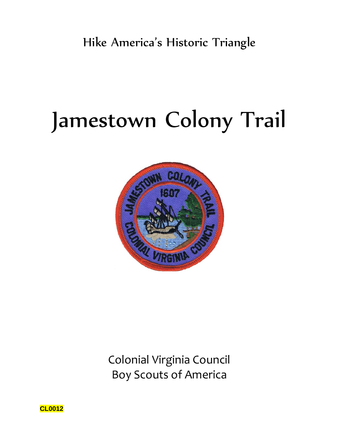# Jamestown Colony Trail



Colonial Virginia Council Boy Scouts of America

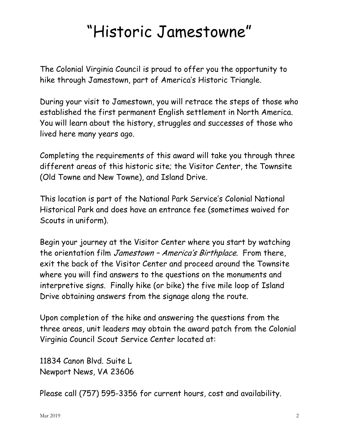# "Historic Jamestowne"

The Colonial Virginia Council is proud to offer you the opportunity to hike through Jamestown, part of America's Historic Triangle.

During your visit to Jamestown, you will retrace the steps of those who established the first permanent English settlement in North America. You will learn about the history, struggles and successes of those who lived here many years ago.

Completing the requirements of this award will take you through three different areas of this historic site; the Visitor Center, the Townsite (Old Towne and New Towne), and Island Drive.

This location is part of the National Park Service's Colonial National Historical Park and does have an entrance fee (sometimes waived for Scouts in uniform).

Begin your journey at the Visitor Center where you start by watching the orientation film Jamestown - America's Birthplace. From there, exit the back of the Visitor Center and proceed around the Townsite where you will find answers to the questions on the monuments and interpretive signs. Finally hike (or bike) the five mile loop of Island Drive obtaining answers from the signage along the route.

Upon completion of the hike and answering the questions from the three areas, unit leaders may obtain the award patch from the Colonial Virginia Council Scout Service Center located at:

11834 Canon Blvd. Suite L Newport News, VA 23606

Please call (757) 595-3356 for current hours, cost and availability.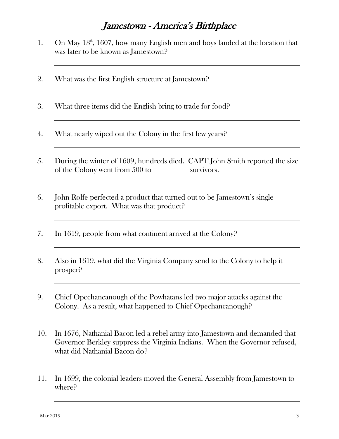## Jamestown - America's Birthplace

- 1. On May  $13<sup>th</sup>$ , 1607, how many English men and boys landed at the location that was later to be known as Jamestown?
- 2. What was the first English structure at Jamestown?
- 3. What three items did the English bring to trade for food?
- 4. What nearly wiped out the Colony in the first few years?
- 5. During the winter of 1609, hundreds died. CAPT John Smith reported the size of the Colony went from 500 to \_\_\_\_\_\_\_\_\_ survivors.
- 6. John Rolfe perfected a product that turned out to be Jamestown's single profitable export. What was that product?
- 7. In 1619, people from what continent arrived at the Colony?
- 8. Also in 1619, what did the Virginia Company send to the Colony to help it prosper?
- 9. Chief Opechancanough of the Powhatans led two major attacks against the Colony. As a result, what happened to Chief Opechancanough?
- 10. In 1676, Nathanial Bacon led a rebel army into Jamestown and demanded that Governor Berkley suppress the Virginia Indians. When the Governor refused, what did Nathanial Bacon do?
- 11. In 1699, the colonial leaders moved the General Assembly from Jamestown to where?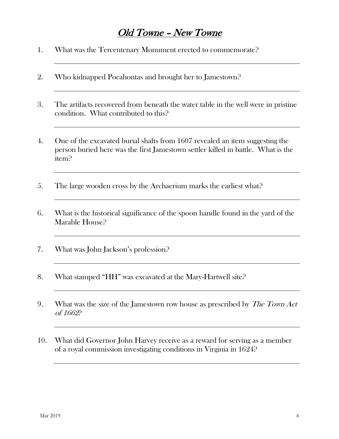## Old Towne – New Towne

- 1. What was the Tercentenary Monument erected to commemorate?
- 2. Who kidnapped Pocahontas and brought her to Jamestown?
- 3. The artifacts recovered from beneath the water table in the well were in pristine condition. What contributed to this?
- 4. One of the excavated burial shafts from 1607 revealed an item suggesting the person buried here was the first Jamestown settler killed in battle. What is the item?
- 5. The large wooden cross by the Archaerium marks the earliest what?
- 6. What is the historical significance of the spoon handle found in the yard of the Marable House?
- 7. What was John Jackson's profession?
- 8. What stamped "HH" was excavated at the Mary-Hartwell site?
- 9. What was the size of the Jamestown row house as prescribed by *The Town Act* of 1662?
- 10. What did Governor John Harvey receive as a reward for serving as a member of a royal commission investigating conditions in Virginia in 1624?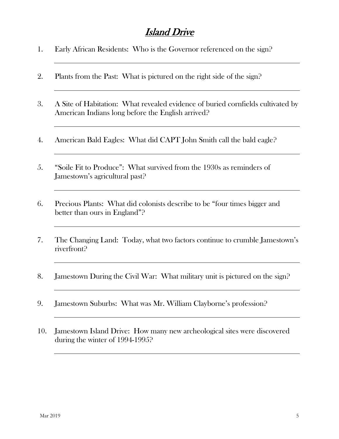#### Island Drive

- 1. Early African Residents: Who is the Governor referenced on the sign?
- 2. Plants from the Past: What is pictured on the right side of the sign?
- 3. A Site of Habitation: What revealed evidence of buried cornfields cultivated by American Indians long before the English arrived?
- 4. American Bald Eagles: What did CAPT John Smith call the bald eagle?
- 5. "Soile Fit to Produce": What survived from the 1930s as reminders of Jamestown's agricultural past?
- 6. Precious Plants: What did colonists describe to be "four times bigger and better than ours in England"?
- 7. The Changing Land: Today, what two factors continue to crumble Jamestown's riverfront?
- 8. Jamestown During the Civil War: What military unit is pictured on the sign?
- 9. Jamestown Suburbs: What was Mr. William Clayborne's profession?
- 10. Jamestown Island Drive: How many new archeological sites were discovered during the winter of 1994-1995?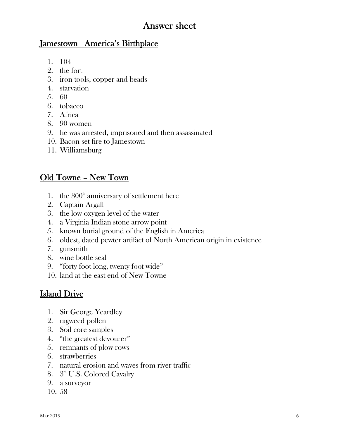#### Answer sheet

#### Jamestown America's Birthplace

- 1. 104
- 2. the fort
- 3. iron tools, copper and beads
- 4. starvation
- 5. 60
- 6. tobacco
- 7. Africa
- 8. 90 women
- 9. he was arrested, imprisoned and then assassinated
- 10. Bacon set fire to Jamestown
- 11. Williamsburg

#### Old Towne – New Town

- 1. the  $300<sup>th</sup>$  anniversary of settlement here
- 2. Captain Argall
- 3. the low oxygen level of the water
- 4. a Virginia Indian stone arrow point
- 5. known burial ground of the English in America
- 6. oldest, dated pewter artifact of North American origin in existence
- 7. gunsmith
- 8. wine bottle seal
- 9. "forty foot long, twenty foot wide"
- 10. land at the east end of New Towne

#### Island Drive

- 1. Sir George Yeardley
- 2. ragweed pollen
- 3. Soil core samples
- 4. "the greatest devourer"
- 5. remnants of plow rows
- 6. strawberries
- 7. natural erosion and waves from river traffic
- 8. 3<sup>rd</sup> U.S. Colored Cavalry
- 9. a surveyor
- 10. 58